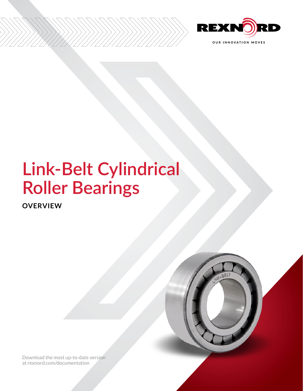

# **Link-Belt Cylindrical Roller Bearings**

**OVERVIEW**

[Download the most up-to-date version](http://www.rexnord.com/documentation)  [at rexnord.com/documentation](http://www.rexnord.com/documentation)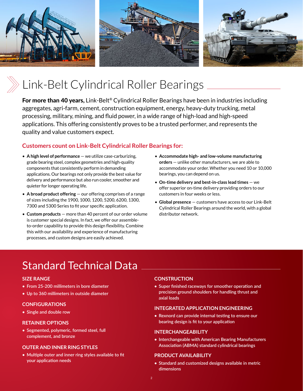

# Link-Belt Cylindrical Roller Bearings

For more than 40 years, Link-Belt<sup>®</sup> Cylindrical Roller Bearings have been in industries including aggregates, agri-farm, cement, construction equipment, energy, heavy-duty trucking, metal processing, military, mining, and fluid power, in a wide range of high-load and high-speed applications. This offering consistently proves to be a trusted performer, and represents the quality and value customers expect.

### **Customers count on Link-Belt Cylindrical Roller Bearings for:**

- **A high level of performance** we utilize case-carburizing, grade bearing steel, complex geometries and high-quality components that consistently perform in demanding applications. Our bearings not only provide the best value for delivery and performance but also run cooler, smoother and quieter for longer operating life.
- **A broad product offering** our offering comprises of a range of sizes including the 1900, 1000, 1200, 5200, 6200, 1300, 7300 and 5300 Series to fit your specific application.
- **Custom products** more than 40 percent of our order volume is customer special designs. In fact, we offer our assembleto-order capability to provide this design flexibility. Combine this with our availability and experience of manufacturing processes, and custom designs are easily achieved.
- **Accommodate high- and low-volume manufacturing orders** — unlike other manufacturers, we are able to accommodate your order. Whether you need 10 or 10,000 bearings, you can depend on us.
- **On-time delivery and best-in-class lead times** we offer superior on-time delivery providing orders to our customers in four weeks or less.
- **Global presence** customers have access to our Link-Belt Cylindrical Roller Bearings around the world, with a global distributor network.

## Standard Technical Data

#### **SIZE RANGE**

- **• From 25-200 millimeters in bore diameter**
- **• Up to 360 millimeters in outside diameter**

### **CONFIGURATIONS**

**• Single and double row**

#### **RETAINER OPTIONS**

**• Segmented, polymeric, formed steel, full complement, and bronze**

#### **OUTER AND INNER RING STYLES**

**• Multiple outer and inner ring styles available to fit your application needs**

#### **CONSTRUCTION**

**• Super finished raceways for smoother operation and precision ground shoulders for handling thrust and axial loads**

#### **INTEGRATED APPLICATION ENGINEERING**

**• Rexnord can provide internal testing to ensure our bearing design is fit to your application**

#### **INTERCHANGEABILITY**

**• Interchangeable with American Bearing Manufacturers Association (ABMA) standard cylindrical bearings**

#### **PRODUCT AVAILABILITY**

**• Standard and customized designs available in metric dimensions**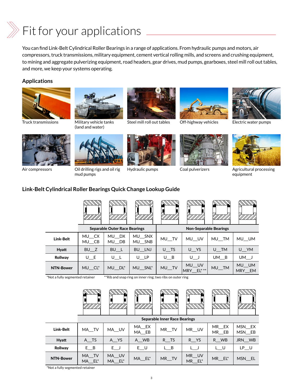# $\gg$  Fit for your applications

You can find Link-Belt Cylindrical Roller Bearings in a range of applications. From hydraulic pumps and motors, air compressors, truck transmissions, military equipment, cement vertical rolling mills, and screens and crushing equipment, to mining and aggregate pulverizing equipment, road headers, gear drives, mud pumps, gearboxes, steel mill roll out tables, and more, we keep your systems operating.

#### **Applications**



Truck transmissions Military vehicle tanks



(land and water)



Steel mill roll out tables Off-highway vehicles Electric water pumps







Ī



Air compressors Oil drilling rigs and oil rig mud pumps







Hydraulic pumps Coal pulverizers Agricultural processing equipment

### **Link-Belt Cylindrical Roller Bearings Quick Change Lookup Guide**

|                  |                | <b>Separable Outer Race Bearings</b> |                  | <b>Non-Separable Bearings</b> |                    |       |                                  |  |
|------------------|----------------|--------------------------------------|------------------|-------------------------------|--------------------|-------|----------------------------------|--|
| Link-Belt        | MU_CX<br>MU_CB | MU DX<br>MU DB                       | MU SNX<br>MU SNB | MU_TV                         | MU UV              | MU TM | MU UM                            |  |
| <b>Hyatt</b>     | $BU$ $Z$       | $BU$ _L                              | BU__LNJ          | $U$ <sub>TS</sub>             | U YS               | U TM  | $U_N$                            |  |
| <b>Rollway</b>   | $U_E$          | $U_L$                                | U LP             | $U$ B                         | UJ                 | UM B  | $UM_J$                           |  |
| <b>NTN-Bower</b> | MU CL*         | MU DL*                               | MU SNL*          | MU_TV                         | MU UV<br>MRY_EL*** | MU_TM | MU UM<br><b>MRY</b><br><b>EM</b> |  |

\*Not a fully segmented retainer \*\*Rib and snap ring on inner ring; two ribs on outer ring



|                  | <b>Separable Inner Race Bearings</b> |                 |                |       |                 |                                          |                    |  |  |
|------------------|--------------------------------------|-----------------|----------------|-------|-----------------|------------------------------------------|--------------------|--|--|
| <b>Link-Belt</b> | MA TV                                | MA UV           | MA EX<br>MA EB | MR TV | MR_UV           | MR EX<br>$MR$ <sub><math>E</math>B</sub> | MSN EX<br>$MSN$ EB |  |  |
| <b>Hyatt</b>     | A TS                                 | A YS            | A WB           | R TS  | R YS            | R WB                                     | JRN WB             |  |  |
| Rollway          | E B                                  | $E$ J           | $E$ U          | L B   |                 | L U                                      | LP U               |  |  |
| <b>NTN-Bower</b> | MA TV<br>MA EL*                      | MA UV<br>MA EL* | MA EL*         | MR TV | MR UV<br>MR EL* | MR EL*                                   | MSN EL             |  |  |

\*Not a fully segmented retainer